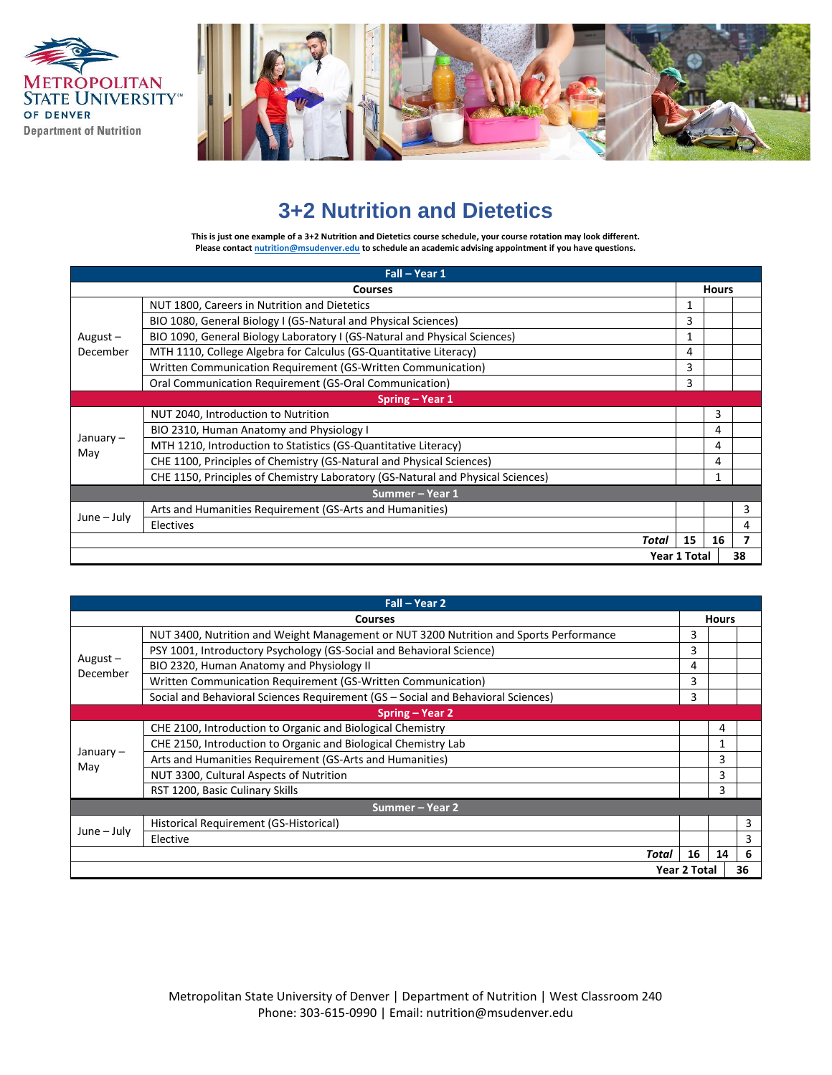



## **3+2 Nutrition and Dietetics**

**This is just one example of a 3+2 Nutrition and Dietetics course schedule, your course rotation may look different. Please contac[t nutrition@msudenver.edu](mailto:nutrition@msudenver.edu) to schedule an academic advising appointment if you have questions.**

| Fall - Year 1   |                                                                                 |              |    |   |
|-----------------|---------------------------------------------------------------------------------|--------------|----|---|
| <b>Courses</b>  |                                                                                 | <b>Hours</b> |    |   |
|                 | NUT 1800, Careers in Nutrition and Dietetics                                    | 1            |    |   |
|                 | BIO 1080, General Biology I (GS-Natural and Physical Sciences)                  | 3            |    |   |
| August $-$      | BIO 1090, General Biology Laboratory I (GS-Natural and Physical Sciences)       | 1            |    |   |
| December        | MTH 1110, College Algebra for Calculus (GS-Quantitative Literacy)               | 4            |    |   |
|                 | Written Communication Requirement (GS-Written Communication)                    | 3            |    |   |
|                 | Oral Communication Requirement (GS-Oral Communication)                          | 3            |    |   |
|                 | Spring - Year 1                                                                 |              |    |   |
|                 | NUT 2040, Introduction to Nutrition                                             |              | 3  |   |
|                 | BIO 2310, Human Anatomy and Physiology I                                        |              | 4  |   |
| January –       | MTH 1210, Introduction to Statistics (GS-Quantitative Literacy)                 |              | 4  |   |
| May             | CHE 1100, Principles of Chemistry (GS-Natural and Physical Sciences)            |              | 4  |   |
|                 | CHE 1150, Principles of Chemistry Laboratory (GS-Natural and Physical Sciences) |              |    |   |
| Summer - Year 1 |                                                                                 |              |    |   |
| $June - July$   | Arts and Humanities Requirement (GS-Arts and Humanities)                        |              |    | 3 |
|                 | Electives                                                                       |              |    | 4 |
|                 | Total                                                                           | 15           | 16 |   |
| Year 1 Total    |                                                                                 |              | 38 |   |

| Fall - Year 2             |                                                                                        |              |    |   |
|---------------------------|----------------------------------------------------------------------------------------|--------------|----|---|
| <b>Courses</b>            |                                                                                        | <b>Hours</b> |    |   |
|                           | NUT 3400, Nutrition and Weight Management or NUT 3200 Nutrition and Sports Performance | 3            |    |   |
|                           | PSY 1001, Introductory Psychology (GS-Social and Behavioral Science)                   | 3            |    |   |
| August $-$                | BIO 2320, Human Anatomy and Physiology II                                              | 4            |    |   |
| December                  | Written Communication Requirement (GS-Written Communication)                           | 3            |    |   |
|                           | Social and Behavioral Sciences Requirement (GS - Social and Behavioral Sciences)       | 3            |    |   |
|                           | Spring – Year 2                                                                        |              |    |   |
|                           | CHE 2100, Introduction to Organic and Biological Chemistry                             |              | 4  |   |
|                           | CHE 2150, Introduction to Organic and Biological Chemistry Lab                         |              |    |   |
| January-                  | Arts and Humanities Requirement (GS-Arts and Humanities)                               |              | 3  |   |
| May                       | NUT 3300, Cultural Aspects of Nutrition                                                |              | 3  |   |
|                           | RST 1200, Basic Culinary Skills                                                        |              | 3  |   |
| Summer - Year 2           |                                                                                        |              |    |   |
|                           | Historical Requirement (GS-Historical)                                                 |              |    | 3 |
| $June - July$             | Elective                                                                               |              |    | 3 |
|                           | Total                                                                                  | 16           | 14 | 6 |
| <b>Year 2 Total</b><br>36 |                                                                                        |              |    |   |